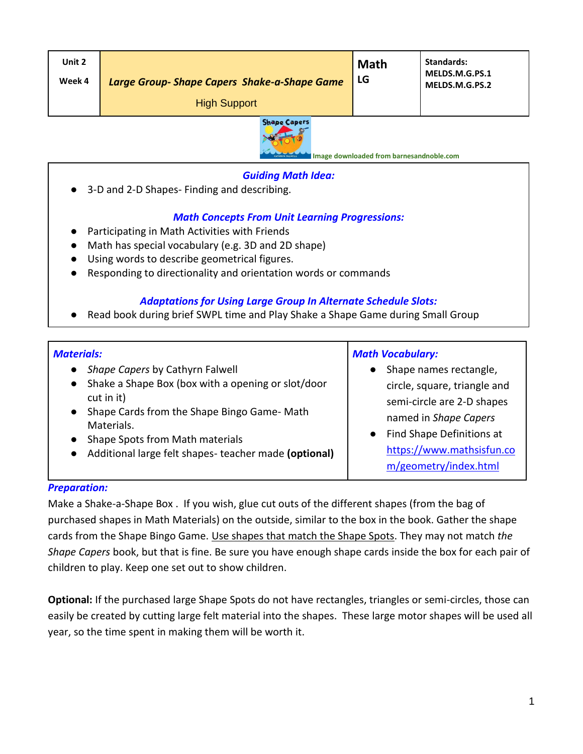| Unit 2<br>Week 4 | Large Group-Shape Capers Shake-a-Shape Game<br><b>High Support</b> | <b>Math</b><br>LG | <b>Standards:</b><br>MELDS.M.G.PS.1<br>MELDS.M.G.PS.2 |
|------------------|--------------------------------------------------------------------|-------------------|-------------------------------------------------------|
|                  |                                                                    |                   |                                                       |



**Image downloaded from barnesandnoble.com**

## *Guiding Math Idea:*

● 3-D and 2-D Shapes- Finding and describing.

## *Math Concepts From Unit Learning Progressions:*

- Participating in Math Activities with Friends
- Math has special vocabulary (e.g. 3D and 2D shape)
- Using words to describe geometrical figures.
- Responding to directionality and orientation words or commands

## *Adaptations for Using Large Group In Alternate Schedule Slots:*

● Read book during brief SWPL time and Play Shake a Shape Game during Small Group

## *Materials:*

- *Shape Capers* by Cathyrn Falwell
- Shake a Shape Box (box with a opening or slot/door cut in it)
- Shape Cards from the Shape Bingo Game- Math Materials.
- Shape Spots from Math materials
- Additional large felt shapes- teacher made **(optional)**

#### *Math Vocabulary:*

- Shape names rectangle, circle, square, triangle and semi-circle are 2-D shapes named in *Shape Capers*
- Find Shape Definitions at [https://www.mathsisfun.co](https://www.mathsisfun.com/geometry/index.html) [m/geometry/index.html](https://www.mathsisfun.com/geometry/index.html)

#### *Preparation:*

Make a Shake-a-Shape Box . If you wish, glue cut outs of the different shapes (from the bag of purchased shapes in Math Materials) on the outside, similar to the box in the book. Gather the shape cards from the Shape Bingo Game. Use shapes that match the Shape Spots. They may not match *the Shape Capers* book, but that is fine. Be sure you have enough shape cards inside the box for each pair of children to play. Keep one set out to show children.

**Optional:** If the purchased large Shape Spots do not have rectangles, triangles or semi-circles, those can easily be created by cutting large felt material into the shapes. These large motor shapes will be used all year, so the time spent in making them will be worth it.